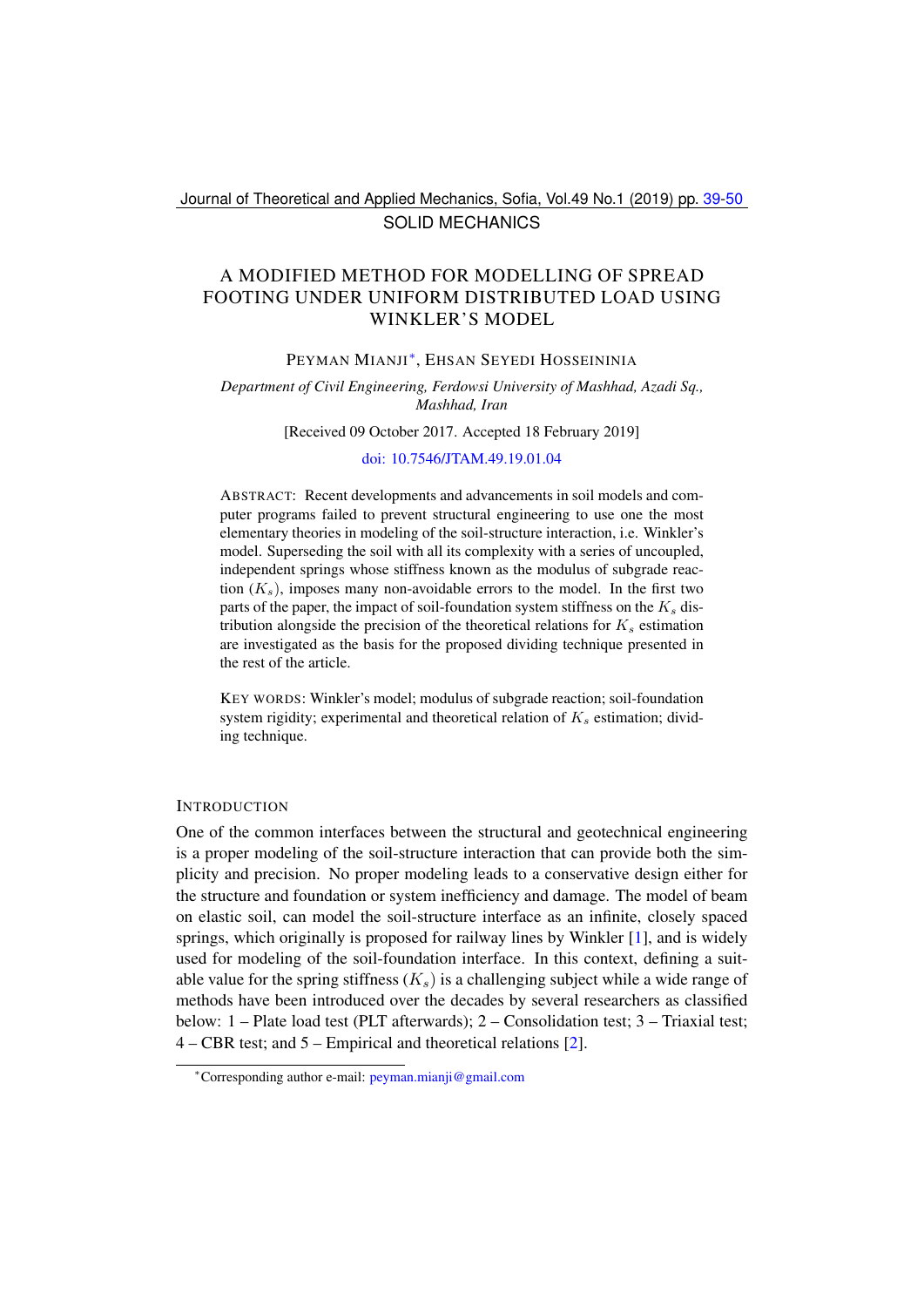## Journal of Theoretical and Applied Mechanics, Sofia, Vol.49 No.1 (2019) pp. [39](#page-0-0)[-50](#page-11-0) SOLID MECHANICS

# <span id="page-0-0"></span>A MODIFIED METHOD FOR MODELLING OF SPREAD FOOTING UNDER UNIFORM DISTRIBUTED LOAD USING WINKLER'S MODEL

## PEYMAN MIANJI[∗](#page-0-1) , EHSAN SEYEDI HOSSEININIA

#### *Department of Civil Engineering, Ferdowsi University of Mashhad, Azadi Sq., Mashhad, Iran*

[Received 09 October 2017. Accepted 18 February 2019]

### [doi: 10.7546/JTAM.49.19.01.04](https://doi.org/10.7546/JTAM.49.19.01.04)

ABSTRACT: Recent developments and advancements in soil models and computer programs failed to prevent structural engineering to use one the most elementary theories in modeling of the soil-structure interaction, i.e. Winkler's model. Superseding the soil with all its complexity with a series of uncoupled, independent springs whose stiffness known as the modulus of subgrade reaction  $(K_s)$ , imposes many non-avoidable errors to the model. In the first two parts of the paper, the impact of soil-foundation system stiffness on the  $K_s$  distribution alongside the precision of the theoretical relations for  $K_s$  estimation are investigated as the basis for the proposed dividing technique presented in the rest of the article.

KEY WORDS: Winkler's model; modulus of subgrade reaction; soil-foundation system rigidity; experimental and theoretical relation of  $K_s$  estimation; dividing technique.

#### **INTRODUCTION**

One of the common interfaces between the structural and geotechnical engineering is a proper modeling of the soil-structure interaction that can provide both the simplicity and precision. No proper modeling leads to a conservative design either for the structure and foundation or system inefficiency and damage. The model of beam on elastic soil, can model the soil-structure interface as an infinite, closely spaced springs, which originally is proposed for railway lines by Winkler [\[1\]](#page-10-0), and is widely used for modeling of the soil-foundation interface. In this context, defining a suitable value for the spring stiffness  $(K_s)$  is a challenging subject while a wide range of methods have been introduced over the decades by several researchers as classified below: 1 – Plate load test (PLT afterwards); 2 – Consolidation test; 3 – Triaxial test; 4 – CBR test; and 5 – Empirical and theoretical relations [\[2\]](#page-10-1).

<span id="page-0-1"></span><sup>∗</sup>Corresponding author e-mail: [peyman.mianji@gmail.com](mailto:peyman.mianji@gmail.com)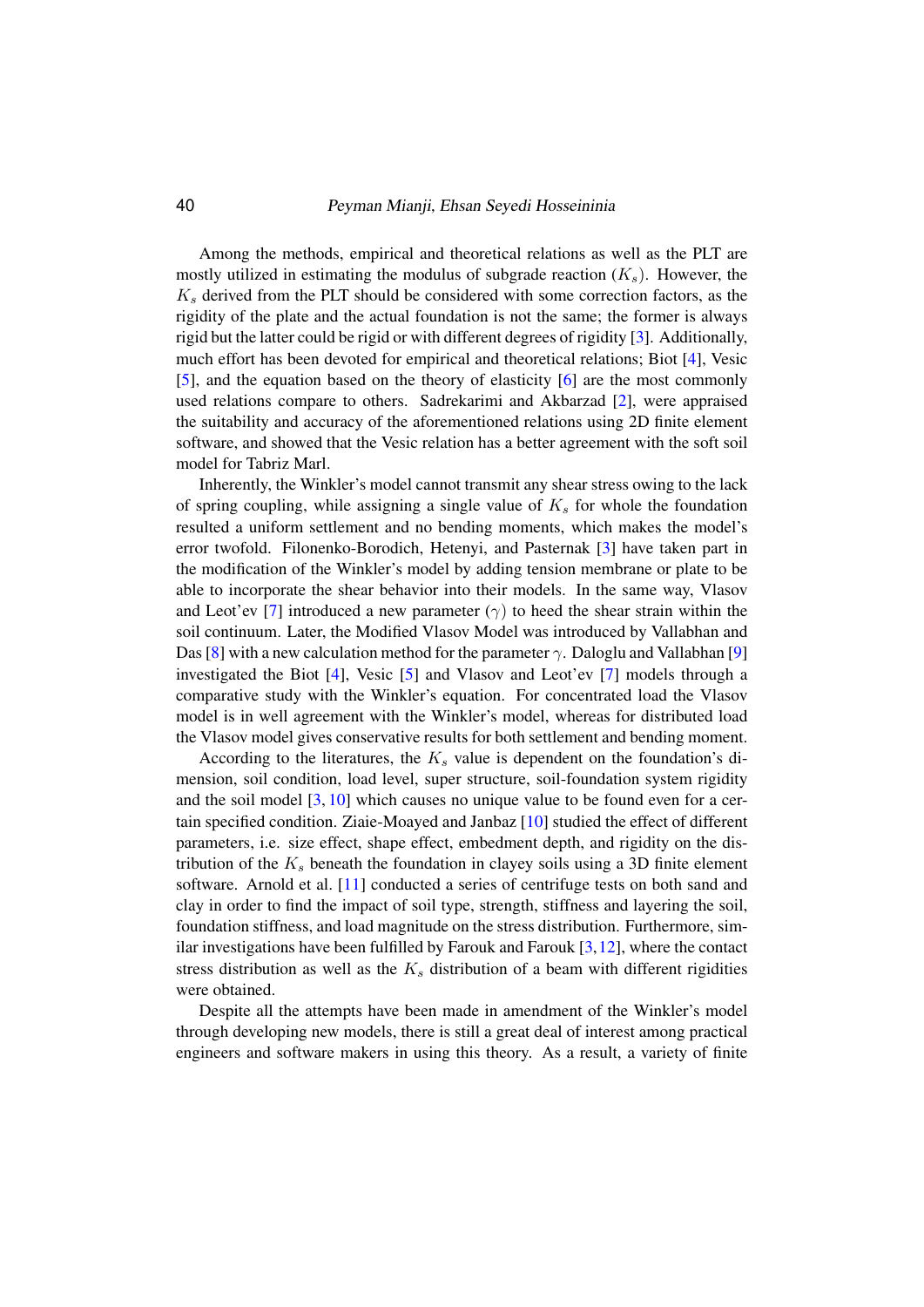#### 40 Peyman Mianji, Ehsan Seyedi Hosseininia

Among the methods, empirical and theoretical relations as well as the PLT are mostly utilized in estimating the modulus of subgrade reaction  $(K_s)$ . However, the  $K<sub>s</sub>$  derived from the PLT should be considered with some correction factors, as the rigidity of the plate and the actual foundation is not the same; the former is always rigid but the latter could be rigid or with different degrees of rigidity [\[3\]](#page-10-2). Additionally, much effort has been devoted for empirical and theoretical relations; Biot [\[4\]](#page-10-3), Vesic [\[5\]](#page-10-4), and the equation based on the theory of elasticity [\[6\]](#page-10-5) are the most commonly used relations compare to others. Sadrekarimi and Akbarzad [\[2\]](#page-10-1), were appraised the suitability and accuracy of the aforementioned relations using 2D finite element software, and showed that the Vesic relation has a better agreement with the soft soil model for Tabriz Marl.

Inherently, the Winkler's model cannot transmit any shear stress owing to the lack of spring coupling, while assigning a single value of  $K_s$  for whole the foundation resulted a uniform settlement and no bending moments, which makes the model's error twofold. Filonenko-Borodich, Hetenyi, and Pasternak [\[3\]](#page-10-2) have taken part in the modification of the Winkler's model by adding tension membrane or plate to be able to incorporate the shear behavior into their models. In the same way, Vlasov and Leot'ev [\[7\]](#page-10-6) introduced a new parameter ( $\gamma$ ) to heed the shear strain within the soil continuum. Later, the Modified Vlasov Model was introduced by Vallabhan and Das [\[8\]](#page-11-1) with a new calculation method for the parameter  $\gamma$ . Daloglu and Vallabhan [\[9\]](#page-11-2) investigated the Biot [\[4\]](#page-10-3), Vesic [\[5\]](#page-10-4) and Vlasov and Leot'ev [\[7\]](#page-10-6) models through a comparative study with the Winkler's equation. For concentrated load the Vlasov model is in well agreement with the Winkler's model, whereas for distributed load the Vlasov model gives conservative results for both settlement and bending moment.

According to the literatures, the  $K_s$  value is dependent on the foundation's dimension, soil condition, load level, super structure, soil-foundation system rigidity and the soil model  $[3, 10]$  $[3, 10]$  $[3, 10]$  which causes no unique value to be found even for a certain specified condition. Ziaie-Moayed and Janbaz [\[10\]](#page-11-3) studied the effect of different parameters, i.e. size effect, shape effect, embedment depth, and rigidity on the distribution of the  $K_s$  beneath the foundation in clayey soils using a 3D finite element software. Arnold et al. [\[11\]](#page-11-4) conducted a series of centrifuge tests on both sand and clay in order to find the impact of soil type, strength, stiffness and layering the soil, foundation stiffness, and load magnitude on the stress distribution. Furthermore, similar investigations have been fulfilled by Farouk and Farouk  $[3,12]$  $[3,12]$ , where the contact stress distribution as well as the  $K<sub>s</sub>$  distribution of a beam with different rigidities were obtained.

Despite all the attempts have been made in amendment of the Winkler's model through developing new models, there is still a great deal of interest among practical engineers and software makers in using this theory. As a result, a variety of finite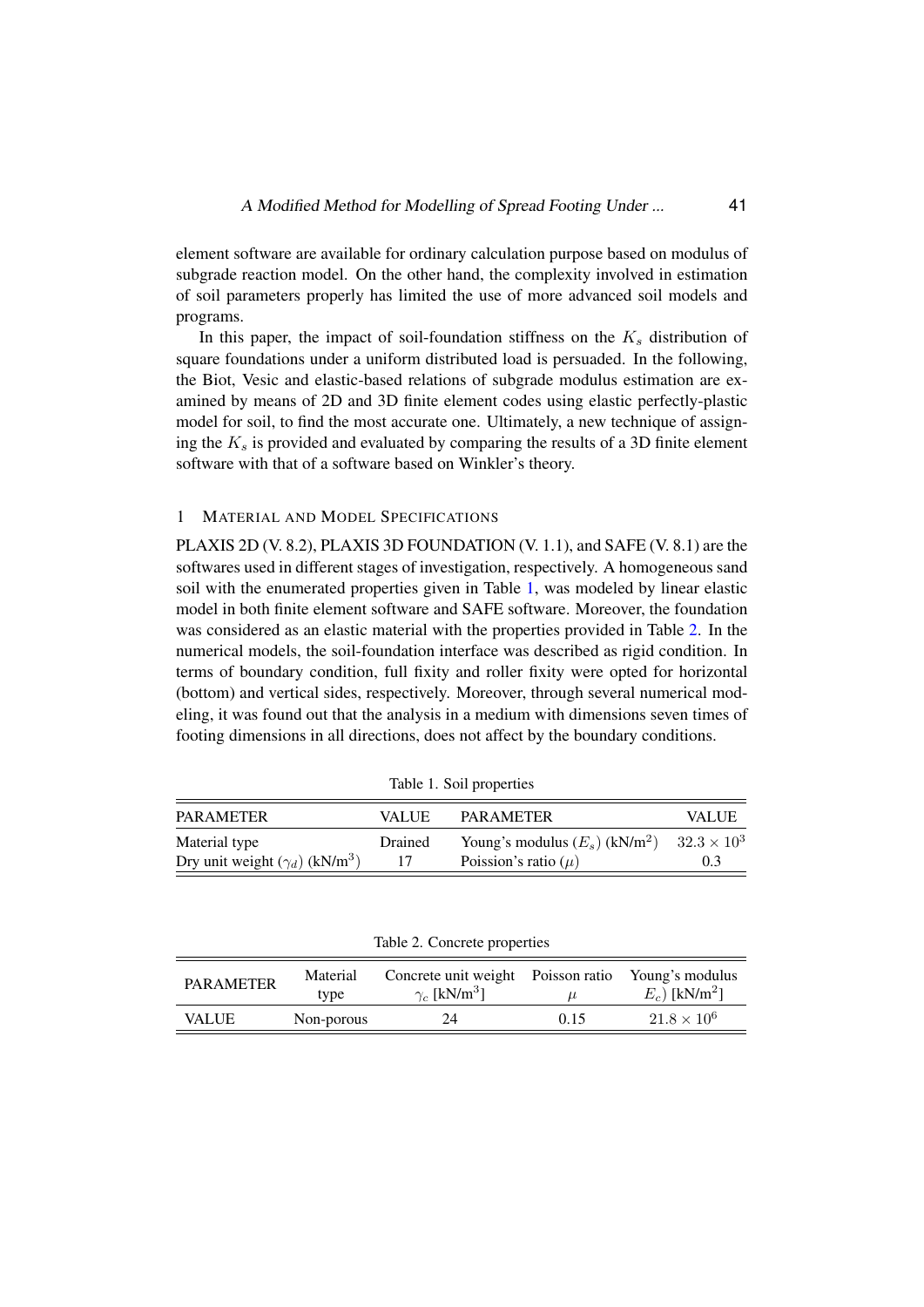element software are available for ordinary calculation purpose based on modulus of subgrade reaction model. On the other hand, the complexity involved in estimation of soil parameters properly has limited the use of more advanced soil models and programs.

In this paper, the impact of soil-foundation stiffness on the  $K_s$  distribution of square foundations under a uniform distributed load is persuaded. In the following, the Biot, Vesic and elastic-based relations of subgrade modulus estimation are examined by means of 2D and 3D finite element codes using elastic perfectly-plastic model for soil, to find the most accurate one. Ultimately, a new technique of assigning the  $K<sub>s</sub>$  is provided and evaluated by comparing the results of a 3D finite element software with that of a software based on Winkler's theory.

#### 1 MATERIAL AND MODEL SPECIFICATIONS

PLAXIS 2D (V. 8.2), PLAXIS 3D FOUNDATION (V. 1.1), and SAFE (V. 8.1) are the softwares used in different stages of investigation, respectively. A homogeneous sand soil with the enumerated properties given in Table [1,](#page-2-0) was modeled by linear elastic model in both finite element software and SAFE software. Moreover, the foundation was considered as an elastic material with the properties provided in Table [2.](#page-2-1) In the numerical models, the soil-foundation interface was described as rigid condition. In terms of boundary condition, full fixity and roller fixity were opted for horizontal (bottom) and vertical sides, respectively. Moreover, through several numerical modeling, it was found out that the analysis in a medium with dimensions seven times of footing dimensions in all directions, does not affect by the boundary conditions.

| <b>PAR AMETER</b>                                 | <b>VALUE</b> | <b>PARAMETER</b>                             | <b>VALUE</b>         |
|---------------------------------------------------|--------------|----------------------------------------------|----------------------|
| Material type                                     | Drained      | Young's modulus $(E_s)$ (kN/m <sup>2</sup> ) | $32.3 \times 10^{3}$ |
| Dry unit weight $(\gamma_d)$ (kN/m <sup>3</sup> ) |              | Poission's ratio $(\mu)$                     | 0.3                  |

<span id="page-2-0"></span>Table 1. Soil properties

<span id="page-2-1"></span>Table 2. Concrete properties

| <b>PARAMETER</b> | Material<br>tvpe | Concrete unit weight Poisson ratio<br>$\gamma_c$ [kN/m <sup>3</sup> ] | $\mu$ | Young's modulus<br>$E_c$ ) [kN/m <sup>2</sup> ] |
|------------------|------------------|-----------------------------------------------------------------------|-------|-------------------------------------------------|
| <b>VALUE</b>     | Non-porous       | 24                                                                    | 0.15  | $21.8 \times 10^{6}$                            |
|                  |                  |                                                                       |       |                                                 |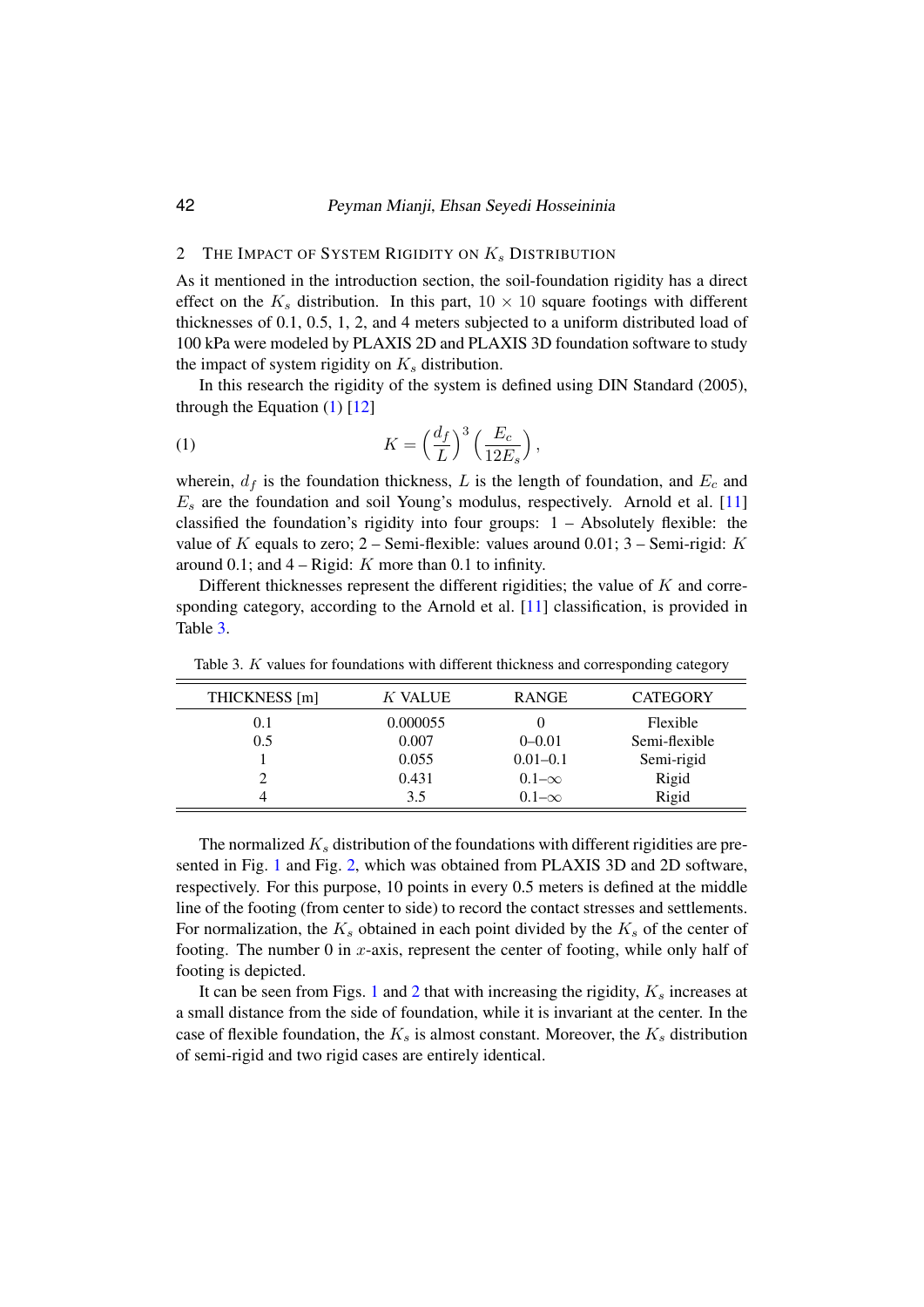#### 42 Peyman Mianji, Ehsan Seyedi Hosseininia

## 2 THE IMPACT OF SYSTEM RIGIDITY ON  $K_s$  DISTRIBUTION

As it mentioned in the introduction section, the soil-foundation rigidity has a direct effect on the  $K_s$  distribution. In this part,  $10 \times 10$  square footings with different thicknesses of 0.1, 0.5, 1, 2, and 4 meters subjected to a uniform distributed load of 100 kPa were modeled by PLAXIS 2D and PLAXIS 3D foundation software to study the impact of system rigidity on  $K_s$  distribution.

In this research the rigidity of the system is defined using DIN Standard (2005), through the Equation  $(1)$  [\[12\]](#page-11-5)

<span id="page-3-0"></span>(1) 
$$
K = \left(\frac{d_f}{L}\right)^3 \left(\frac{E_c}{12E_s}\right),
$$

wherein,  $d_f$  is the foundation thickness, L is the length of foundation, and  $E_c$  and  $E_s$  are the foundation and soil Young's modulus, respectively. Arnold et al. [\[11\]](#page-11-4) classified the foundation's rigidity into four groups:  $1 -$  Absolutely flexible: the value of K equals to zero; 2 – Semi-flexible: values around 0.01; 3 – Semi-rigid: K around 0.1; and  $4 -$ Rigid: K more than 0.1 to infinity.

Different thicknesses represent the different rigidities; the value of  $K$  and corresponding category, according to the Arnold et al. [\[11\]](#page-11-4) classification, is provided in Table [3.](#page-3-1)

| THICKNESS [m] | K VALUE  | <b>RANGE</b> | <b>CATEGORY</b> |
|---------------|----------|--------------|-----------------|
| (0.1)         | 0.000055 |              | Flexible        |
| 0.5           | 0.007    | $0 - 0.01$   | Semi-flexible   |
|               | 0.055    | $0.01 - 0.1$ | Semi-rigid      |
|               | 0.431    | $0.1-\infty$ | Rigid           |
|               | 3.5      | $0.1-\infty$ | Rigid           |

<span id="page-3-1"></span>Table 3. K values for foundations with different thickness and corresponding category

The normalized  $K<sub>s</sub>$  distribution of the foundations with different rigidities are presented in Fig. [1](#page-4-0) and Fig. [2,](#page-4-1) which was obtained from PLAXIS 3D and 2D software, respectively. For this purpose, 10 points in every 0.5 meters is defined at the middle line of the footing (from center to side) to record the contact stresses and settlements. For normalization, the  $K_s$  obtained in each point divided by the  $K_s$  of the center of footing. The number 0 in  $x$ -axis, represent the center of footing, while only half of footing is depicted.

It can be seen from Figs. [1](#page-4-0) and [2](#page-4-1) that with increasing the rigidity,  $K_s$  increases at a small distance from the side of foundation, while it is invariant at the center. In the case of flexible foundation, the  $K_s$  is almost constant. Moreover, the  $K_s$  distribution of semi-rigid and two rigid cases are entirely identical.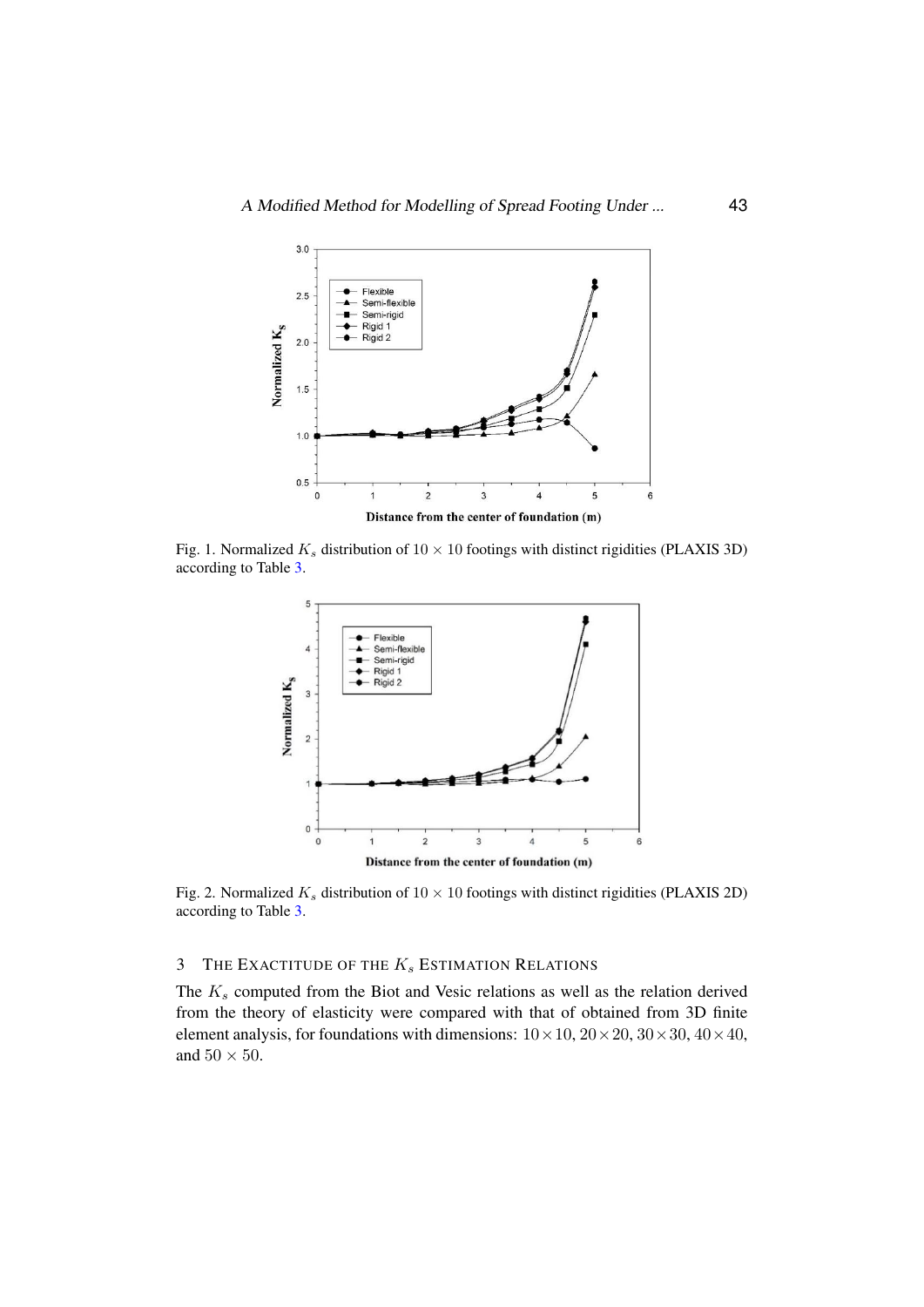

<span id="page-4-0"></span>Fig. 1. Normalized  $K_s$  distribution of  $10 \times 10$  footings with distinct rigidities (PLAXIS 3D) associating to Table 3. according to Table [3.](#page-3-1)



<span id="page-4-1"></span>Fig. 2. Normalized  $K_s$  distribution of  $10 \times 10$  footings with distinct rigidities (PLAXIS 2D) according to Table 3. according to Table [3.](#page-3-1)

# 3 THE EXACTITUDE OF THE  $K_s$  ESTIMATION RELATIONS

The  $K_s$  computed from the Biot and Vesic relations as well as the relation derived from the theory of elasticity were compared with that of obtained from 3D finite element analysis, for foundations with dimensions:  $10 \times 10$ ,  $20 \times 20$ ,  $30 \times 30$ ,  $40 \times 40$ , and  $50 \times 50$ .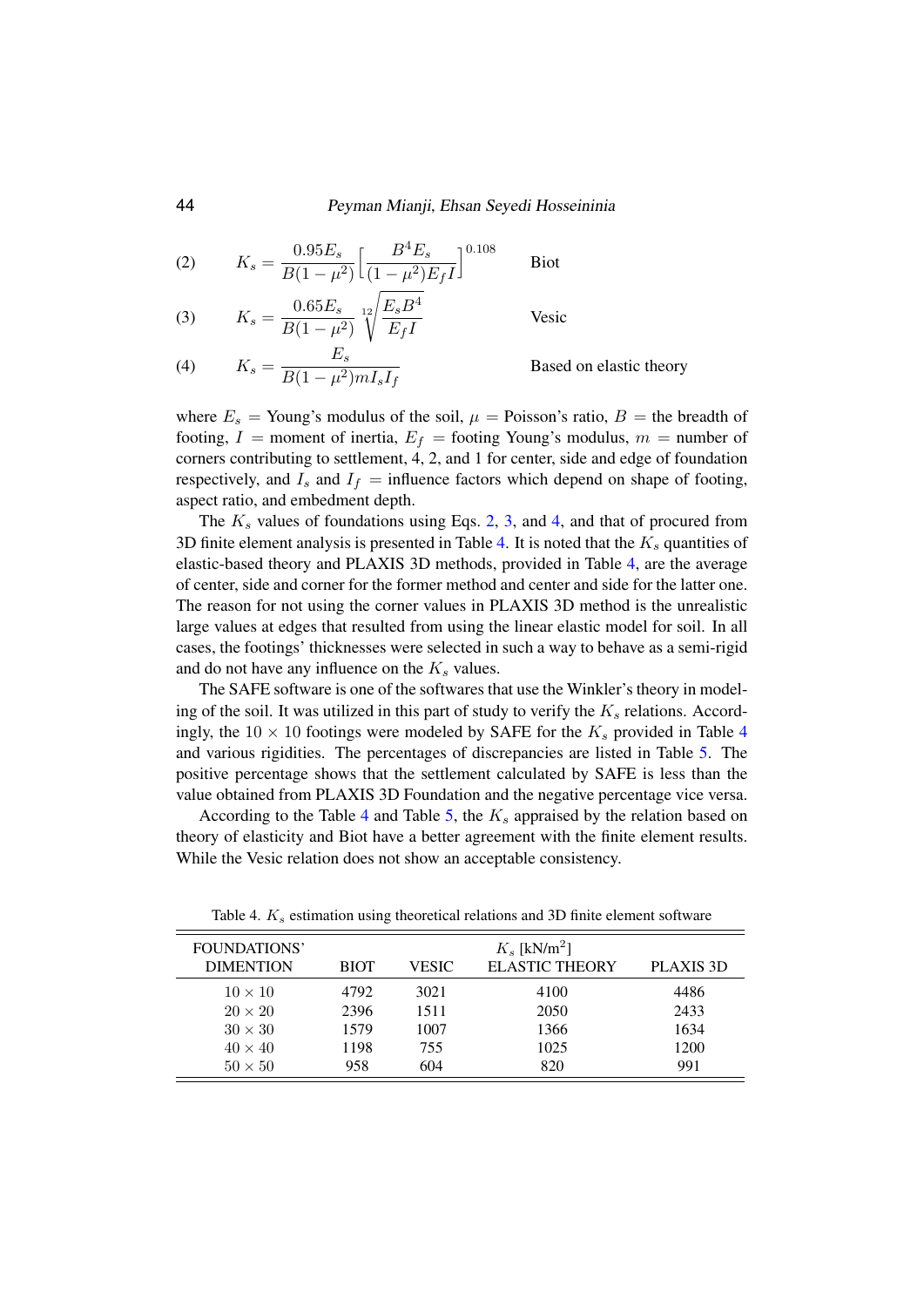<span id="page-5-0"></span>(2) 
$$
K_s = \frac{0.95 E_s}{B(1 - \mu^2)} \left[ \frac{B^4 E_s}{(1 - \mu^2) E_f I} \right]^{0.108}
$$
 Biot

<span id="page-5-1"></span>(3) 
$$
K_s = \frac{0.65 E_s}{B(1 - \mu^2)} \sqrt[12]{\frac{E_s B^4}{E_f I}}
$$
 Vesic

<span id="page-5-2"></span>(4) 
$$
K_s = \frac{E_s}{B(1 - \mu^2) m I_s I_f}
$$
 Based on elastic theory

where  $E_s$  = Young's modulus of the soil,  $\mu$  = Poisson's ratio,  $B$  = the breadth of footing,  $I =$  moment of inertia,  $E_f =$  footing Young's modulus,  $m =$  number of corners contributing to settlement, 4, 2, and 1 for center, side and edge of foundation respectively, and  $I_s$  and  $I_f$  = influence factors which depend on shape of footing, aspect ratio, and embedment depth.

The  $K_s$  values of foundations using Eqs. [2,](#page-5-0) [3,](#page-5-1) and [4,](#page-5-2) and that of procured from 3D finite element analysis is presented in Table [4.](#page-5-3) It is noted that the  $K_s$  quantities of elastic-based theory and PLAXIS 3D methods, provided in Table [4,](#page-5-3) are the average of center, side and corner for the former method and center and side for the latter one. The reason for not using the corner values in PLAXIS 3D method is the unrealistic large values at edges that resulted from using the linear elastic model for soil. In all cases, the footings' thicknesses were selected in such a way to behave as a semi-rigid and do not have any influence on the  $K_s$  values.

The SAFE software is one of the softwares that use the Winkler's theory in modeling of the soil. It was utilized in this part of study to verify the  $K_s$  relations. Accordingly, the  $10 \times 10$  footings were modeled by SAFE for the  $K_s$  provided in Table [4](#page-5-3) and various rigidities. The percentages of discrepancies are listed in Table [5.](#page-6-0) The positive percentage shows that the settlement calculated by SAFE is less than the value obtained from PLAXIS 3D Foundation and the negative percentage vice versa.

According to the Table [4](#page-5-3) and Table [5,](#page-6-0) the  $K_s$  appraised by the relation based on theory of elasticity and Biot have a better agreement with the finite element results. While the Vesic relation does not show an acceptable consistency.

| FOUNDATIONS'<br><b>DIMENTION</b> | <b>BIOT</b> | VESIC | $K_s$ [kN/m <sup>2</sup> ]<br><b>ELASTIC THEORY</b> | PLAXIS 3D |
|----------------------------------|-------------|-------|-----------------------------------------------------|-----------|
| $10 \times 10$                   | 4792        | 3021  | 4100                                                | 4486      |
| $20 \times 20$                   | 2396        | 1511  | 2050                                                | 2433      |
| $30 \times 30$                   | 1579        | 1007  | 1366                                                | 1634      |
| $40 \times 40$                   | 1198        | 755   | 1025                                                | 1200      |
| $50 \times 50$                   | 958         | 604   | 820                                                 | 991       |

<span id="page-5-3"></span>Table 4.  $K_s$  estimation using theoretical relations and 3D finite element software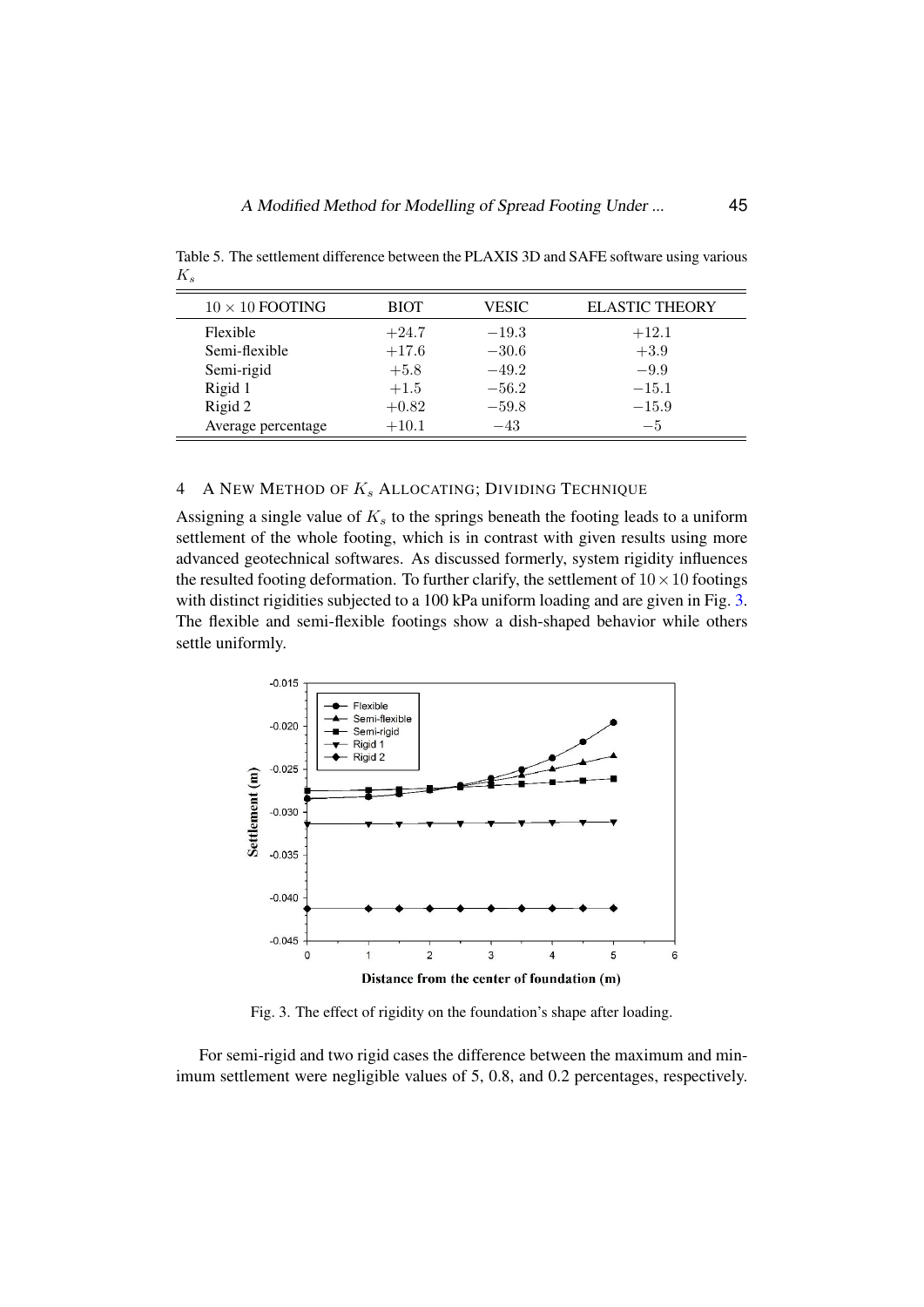<span id="page-6-0"></span>Table 5. The settlement difference between the PLAXIS 3D and SAFE software using various  $K_s$ 

| $10 \times 10$ FOOTING | <b>BIOT</b> | <b>VESIC</b> | <b>ELASTIC THEORY</b> |
|------------------------|-------------|--------------|-----------------------|
| Flexible               | $+24.7$     | $-19.3$      | $+12.1$               |
| Semi-flexible          | $+17.6$     | $-30.6$      | $+3.9$                |
| Semi-rigid             | $+5.8$      | $-49.2$      | $-9.9$                |
| Rigid 1                | $+1.5$      | $-56.2$      | $-15.1$               |
| Rigid 2                | $+0.82$     | $-59.8$      | $-15.9$               |
| Average percentage     | $+10.1$     | $-43$        | $-5$                  |

## 4 A NEW METHOD OF  $K_s$  ALLOCATING; DIVIDING TECHNIQUE

Assigning a single value of  $K<sub>s</sub>$  to the springs beneath the footing leads to a uniform settlement of the whole footing, which is in contrast with given results using more advanced geotechnical softwares. As discussed formerly, system rigidity influences the resulted footing deformation. To further clarify, the settlement of  $10 \times 10$  footings with distinct rigidities subjected to a 100 kPa uniform loading and are given in Fig. [3.](#page-6-1) The flexible and semi-flexible footings show a dish-shaped behavior while others settle uniformly.



<span id="page-6-1"></span>Fig. 3. The effect of rigidity on the foundation's shape after loading Fig. 3. The effect of rigidity on the foundation's shape after loading.

For semi-rigid and two rigid cases the difference between the maximum and For semi-rigid and two rigid cases the difference between the maximum and minmum settlement were negligible values of  $5, 0.8$ , and 0.2 percentages, respectively.  $T_{\text{max}}$  the assumption of uniform  $T_{\text{max}}$  cases. On the other function  $\frac{1}{T_{\text{max}}}\sum_{i=1}^{T_{\text{max}}}\sum_{i=1}^{T_{\text{max}}}\sum_{i=1}^{T_{\text{max}}}\sum_{i=1}^{T_{\text{max}}}\sum_{i=1}^{T_{\text{max}}}\sum_{i=1}^{T_{\text{max}}}\sum_{i=1}^{T_{\text{max}}}\sum_{i=1}^{T_{\text{max}}}\sum_{i=1}^{T_{\text{$ imum settlement were negligible values of 5, 0.8, and 0.2 percentages, respectively.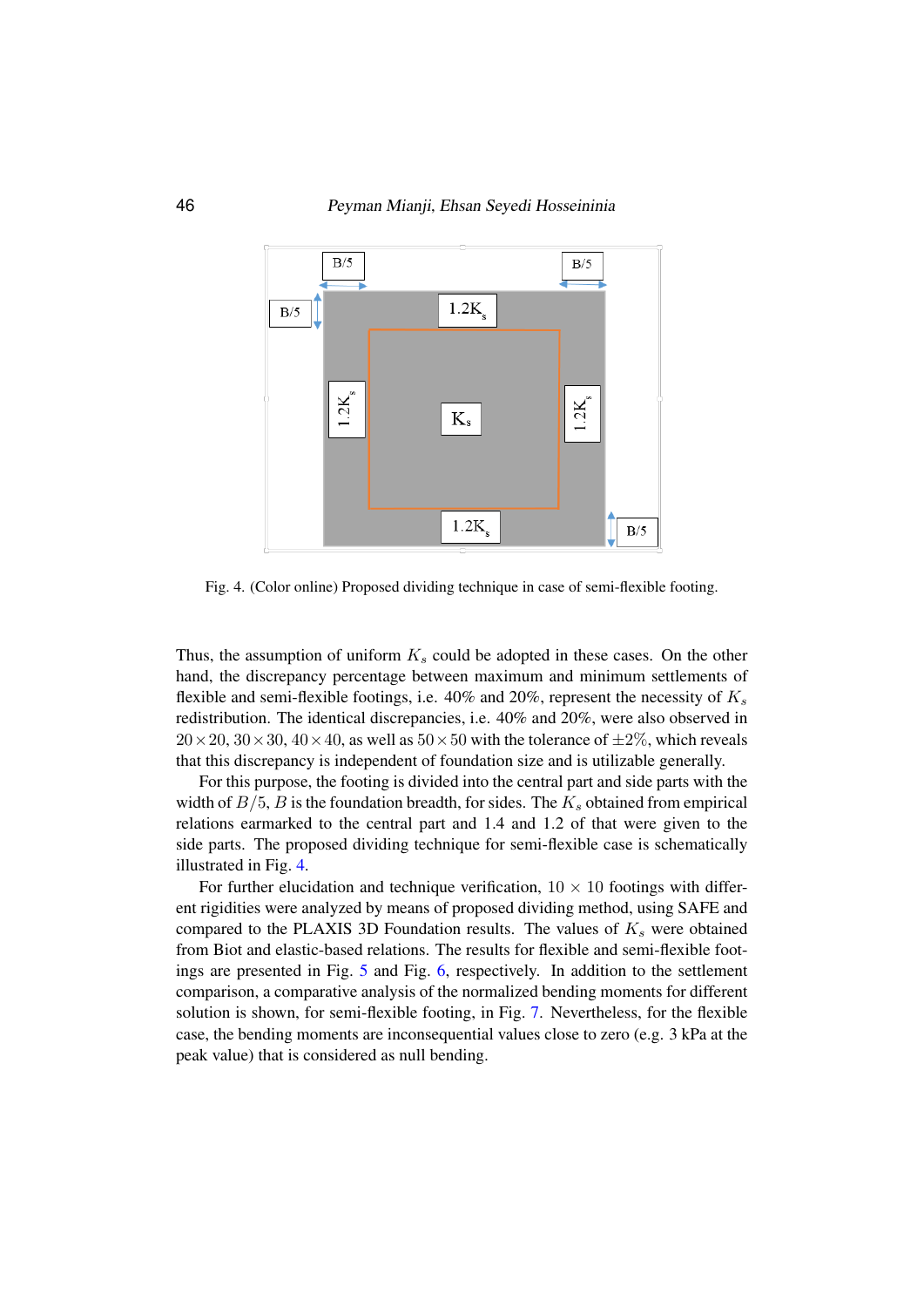

<span id="page-7-0"></span>Fig. 4. (Color online) Proposed dividing technique in case of semi-flexible footing.

Thus, the assumption of uniform  $K_s$  could be adopted in these cases. On the other hand, the discrepancy percentage between maximum and minimum settlements of flexible and semi-flexible footings, i.e.  $40\%$  and  $20\%$ , represent the necessity of  $K_s$ redistribution. The identical discrepancies, i.e. 40% and 20%, were also observed in  $20 \times 20$ ,  $30 \times 30$ ,  $40 \times 40$ , as well as  $50 \times 50$  with the tolerance of  $\pm 2\%$ , which reveals that this discrepancy is independent of foundation size and is utilizable generally.

For this purpose, the footing is divided into the central part and side parts with the width of  $B/5$ , B is the foundation breadth, for sides. The  $K_s$  obtained from empirical relations earmarked to the central part and 1.4 and 1.2 of that were given to the side parts. The proposed dividing technique for semi-flexible case is schematically illustrated in Fig. [4.](#page-7-0)

10 peak value) that is considered as null bending.For further elucidation and technique verification,  $10 \times 10$  footings with different rigidities were analyzed by means of proposed dividing method, using SAFE and compared to the PLAXIS 3D Foundation results. The values of  $K_s$  were obtained from Biot and elastic-based relations. The results for flexible and semi-flexible footings are presented in Fig. [5](#page-8-0) and Fig. [6,](#page-8-1) respectively. In addition to the settlement comparison, a comparative analysis of the normalized bending moments for different solution is shown, for semi-flexible footing, in Fig. [7.](#page-9-0) Nevertheless, for the flexible case, the bending moments are inconsequential values close to zero (e.g. 3 kPa at the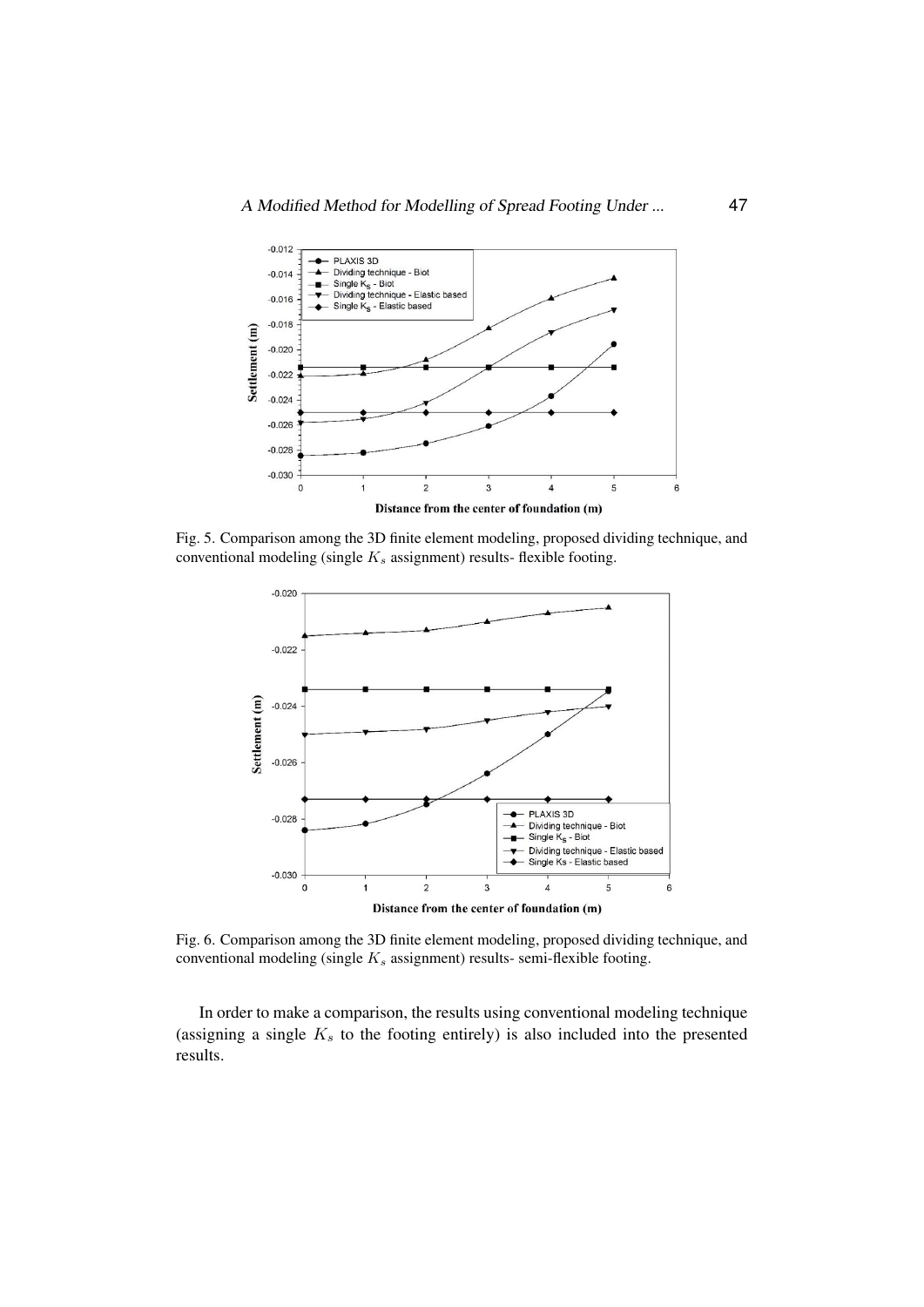

<span id="page-8-0"></span>Fig. 5. Comparison among the 3D finite element modeling, proposed dividing technique, and conventional modeling (single  $K_s$  assignment) results- flexible footing.



<span id="page-8-1"></span>conventional modeling (single  $K_s$  assignment) results- semi-flexible footing. Fig. 6. Comparion among the 3D finite element modeling, proposed dividing technique, Fig. 6. Comparison among the 3D finite element modeling, proposed dividing technique, and

In order to make a comparison, the results using conventional modeling technique (assigning a single  $K<sub>s</sub>$  to the footing entirely) is also included into the presented results.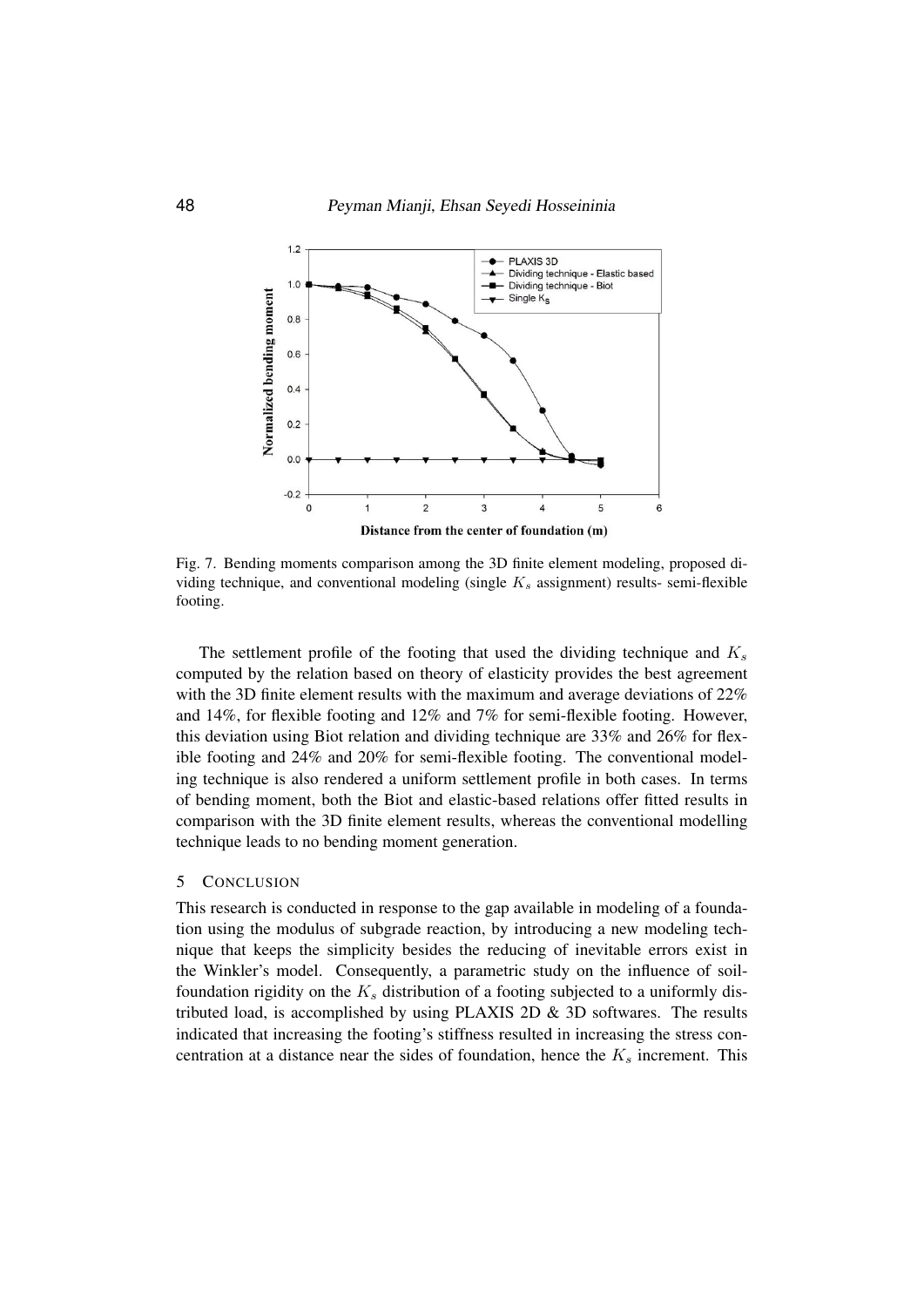

<span id="page-9-0"></span>Fig. 7. Bending moments comparison among the 3D finite element modeling, proposed Fig. 7. Bending moments comparison among the 3D finite element modeling, proposed dividing technique, and conventional modeling (single  $K_s$  assignment) results- semi-flexible faction footing.

The settlement profile of the footing that used the dividing technique and  $K_s$ computed by the relation based on theory of elasticity provides the best agreement with the 3D finite element results with the maximum and average deviations of  $22%$ computed by the best and the best agreement with the maintment with average deviations of  $22\%$  and  $14\%$ , for flexible footing and  $12\%$  and  $7\%$  for semi-flexible footing. However, the 3D finite element results with the maximum and  $\frac{12}{N}$  for  $\frac{12}{N}$  and  $\frac{22}{N}$  and  $\frac{26}{N}$  for  $\frac{1}{N}$  and  $\frac{1}{N}$ this deviation using Biot relation and dividing technique are  $33\%$  and  $26\%$  for flex-<br>this deviation using  $120\%$  for the  $\frac{1}{20}\%$ ible footing and  $24\%$  and  $20\%$  for semi-flexible footing. The conventional modeling technique is also rendered a uniform settlement profile in both cases. In terms of bending moment, both the Biot and elastic-based relations offer fitted results in comparison with the 3D finite element results, whereas the conventional modelling technique leads to no bending moment generation.

#### 5 CONCLUSION

This research is conducted in response to the gap available in modeling of a foundation using the modulus of subgrade reaction, by introducing a new modeling technique that keeps the simplicity besides the reducing of inevitable errors exist in the Winkler's model. Consequently, a parametric study on the influence of soilfoundation rigidity on the  $K_s$  distribution of a footing subjected to a uniformly distributed load, is accomplished by using PLAXIS 2D  $\&$  3D softwares. The results indicated that increasing the footing's stiffness resulted in increasing the stress concentration at a distance near the sides of foundation, hence the  $K_s$  increment. This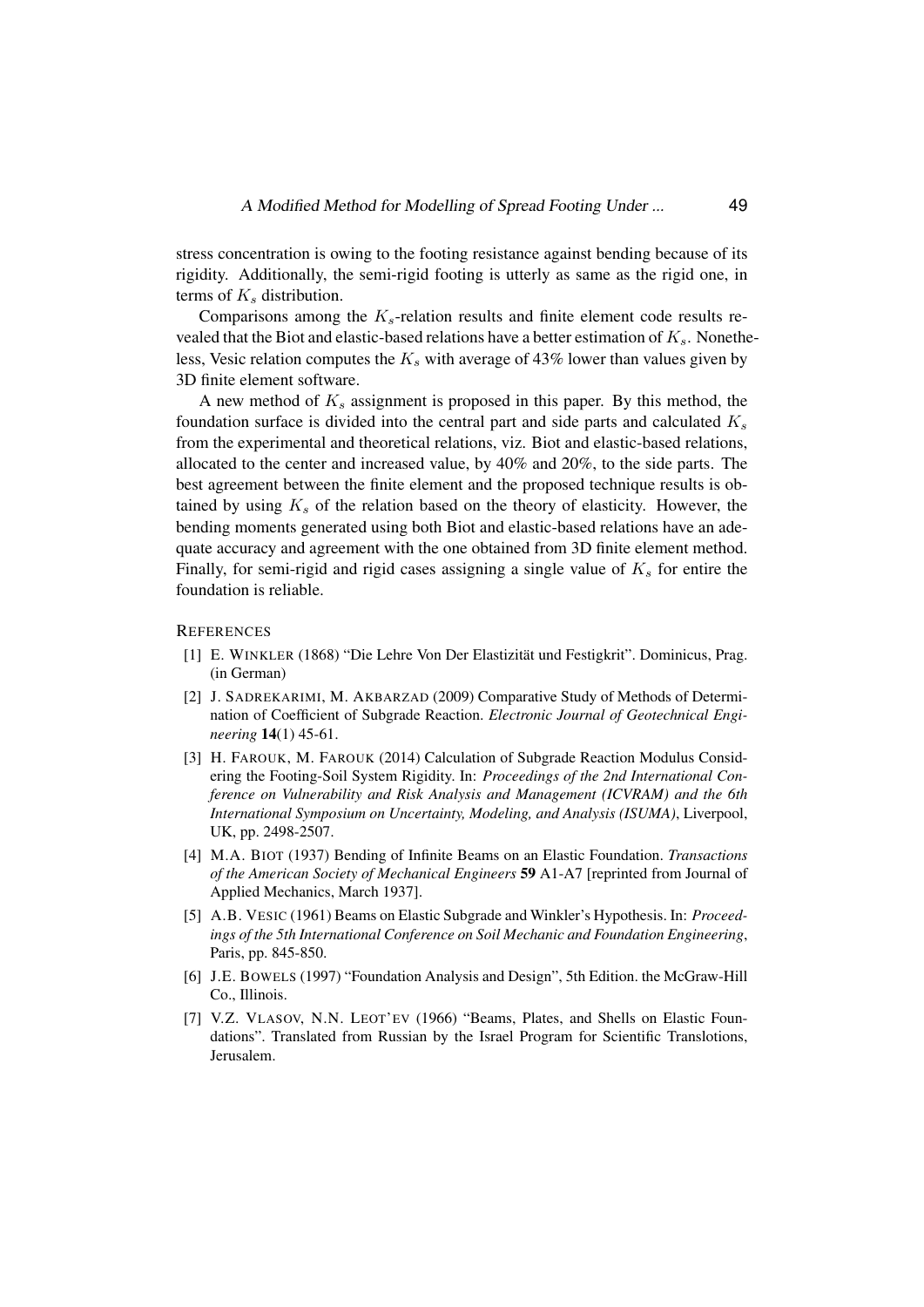stress concentration is owing to the footing resistance against bending because of its rigidity. Additionally, the semi-rigid footing is utterly as same as the rigid one, in terms of  $K_s$  distribution.

Comparisons among the  $K_s$ -relation results and finite element code results revealed that the Biot and elastic-based relations have a better estimation of  $K_s$ . Nonetheless, Vesic relation computes the  $K_s$  with average of 43% lower than values given by 3D finite element software.

A new method of  $K_s$  assignment is proposed in this paper. By this method, the foundation surface is divided into the central part and side parts and calculated  $K_s$ from the experimental and theoretical relations, viz. Biot and elastic-based relations, allocated to the center and increased value, by 40% and 20%, to the side parts. The best agreement between the finite element and the proposed technique results is obtained by using  $K_s$  of the relation based on the theory of elasticity. However, the bending moments generated using both Biot and elastic-based relations have an adequate accuracy and agreement with the one obtained from 3D finite element method. Finally, for semi-rigid and rigid cases assigning a single value of  $K_s$  for entire the foundation is reliable.

#### <span id="page-10-0"></span>**REFERENCES**

- [1] E. WINKLER (1868) "Die Lehre Von Der Elastizitat und Festigkrit". Dominicus, Prag. ¨ (in German)
- <span id="page-10-1"></span>[2] J. SADREKARIMI, M. AKBARZAD (2009) Comparative Study of Methods of Determination of Coefficient of Subgrade Reaction. *Electronic Journal of Geotechnical Engineering* 14(1) 45-61.
- <span id="page-10-2"></span>[3] H. FAROUK, M. FAROUK (2014) Calculation of Subgrade Reaction Modulus Considering the Footing-Soil System Rigidity. In: *Proceedings of the 2nd International Conference on Vulnerability and Risk Analysis and Management (ICVRAM) and the 6th International Symposium on Uncertainty, Modeling, and Analysis (ISUMA)*, Liverpool, UK, pp. 2498-2507.
- <span id="page-10-3"></span>[4] M.A. BIOT (1937) Bending of Infinite Beams on an Elastic Foundation. *Transactions of the American Society of Mechanical Engineers* 59 A1-A7 [reprinted from Journal of Applied Mechanics, March 1937].
- <span id="page-10-4"></span>[5] A.B. VESIC (1961) Beams on Elastic Subgrade and Winkler's Hypothesis. In: *Proceedings of the 5th International Conference on Soil Mechanic and Foundation Engineering*, Paris, pp. 845-850.
- <span id="page-10-5"></span>[6] J.E. BOWELS (1997) "Foundation Analysis and Design", 5th Edition. the McGraw-Hill Co., Illinois.
- <span id="page-10-6"></span>[7] V.Z. VLASOV, N.N. LEOT'EV (1966) "Beams, Plates, and Shells on Elastic Foundations". Translated from Russian by the Israel Program for Scientific Translotions, Jerusalem.